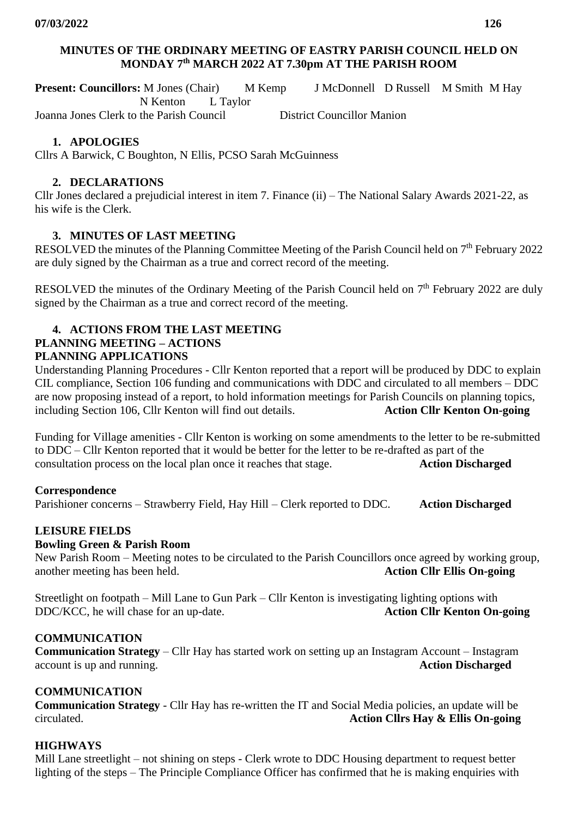## **MINUTES OF THE ORDINARY MEETING OF EASTRY PARISH COUNCIL HELD ON MONDAY 7 th MARCH 2022 AT 7.30pm AT THE PARISH ROOM**

**Present: Councillors:** M Jones (Chair) M Kemp J McDonnell D Russell M Smith M Hay N Kenton L Taylor Joanna Jones Clerk to the Parish Council District Councillor Manion

# **1. APOLOGIES**

Cllrs A Barwick, C Boughton, N Ellis, PCSO Sarah McGuinness

## **2. DECLARATIONS**

Cllr Jones declared a prejudicial interest in item 7. Finance (ii) – The National Salary Awards 2021-22, as his wife is the Clerk.

# **3. MINUTES OF LAST MEETING**

RESOLVED the minutes of the Planning Committee Meeting of the Parish Council held on 7<sup>th</sup> February 2022 are duly signed by the Chairman as a true and correct record of the meeting.

RESOLVED the minutes of the Ordinary Meeting of the Parish Council held on 7<sup>th</sup> February 2022 are duly signed by the Chairman as a true and correct record of the meeting.

#### **4. ACTIONS FROM THE LAST MEETING PLANNING MEETING – ACTIONS PLANNING APPLICATIONS**

Understanding Planning Procedures - Cllr Kenton reported that a report will be produced by DDC to explain CIL compliance, Section 106 funding and communications with DDC and circulated to all members – DDC are now proposing instead of a report, to hold information meetings for Parish Councils on planning topics, including Section 106, Cllr Kenton will find out details. **Action Cllr Kenton On-going** 

Funding for Village amenities - Cllr Kenton is working on some amendments to the letter to be re-submitted to DDC – Cllr Kenton reported that it would be better for the letter to be re-drafted as part of the consultation process on the local plan once it reaches that stage. **Action Discharged**

## **Correspondence**

Parishioner concerns – Strawberry Field, Hay Hill – Clerk reported to DDC. **Action Discharged**

# **LEISURE FIELDS**

## **Bowling Green & Parish Room**

New Parish Room – Meeting notes to be circulated to the Parish Councillors once agreed by working group, another meeting has been held. **Action Cllr Ellis On-going**

Streetlight on footpath – Mill Lane to Gun Park – Cllr Kenton is investigating lighting options with DDC/KCC, he will chase for an up-date. **Action Cllr Kenton On-going** 

## **COMMUNICATION**

**Communication Strategy** – Cllr Hay has started work on setting up an Instagram Account – Instagram account is up and running. **Action Discharged**

## **COMMUNICATION**

**Communication Strategy** - Cllr Hay has re-written the IT and Social Media policies, an update will be circulated. **Action Cllrs Hay & Ellis On-going**

# **HIGHWAYS**

Mill Lane streetlight – not shining on steps - Clerk wrote to DDC Housing department to request better lighting of the steps – The Principle Compliance Officer has confirmed that he is making enquiries with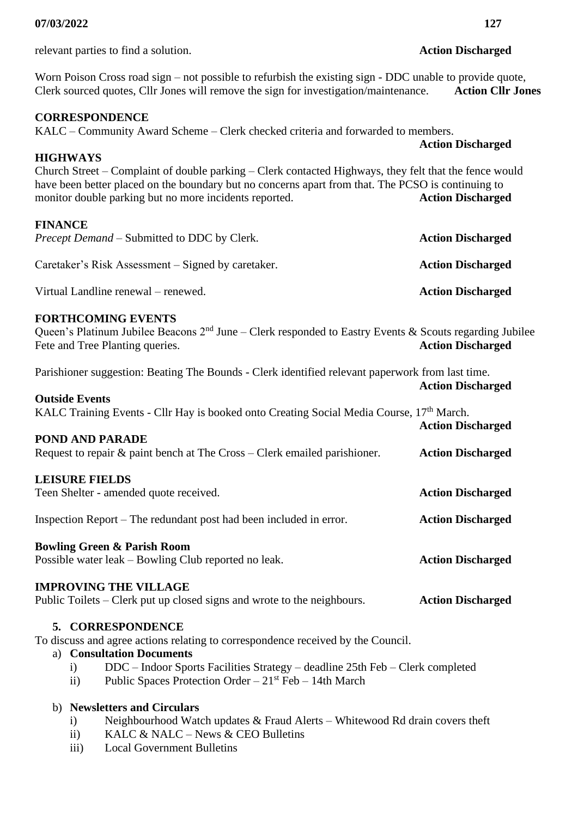relevant parties to find a solution. **Action Discharged**

## Worn Poison Cross road sign – not possible to refurbish the existing sign - DDC unable to provide quote, Clerk sourced quotes, Cllr Jones will remove the sign for investigation/maintenance. **Action Cllr Jones**

## **CORRESPONDENCE**

KALC – Community Award Scheme – Clerk checked criteria and forwarded to members. **Action Discharged**

## **HIGHWAYS**

Church Street – Complaint of double parking – Clerk contacted Highways, they felt that the fence would have been better placed on the boundary but no concerns apart from that. The PCSO is continuing to monitor double parking but no more incidents reported. **Action Discharged** 

## **FINANCE**

| <i>Precept Demand – Submitted to DDC by Clerk.</i> | <b>Action Discharged</b> |
|----------------------------------------------------|--------------------------|
| Caretaker's Risk Assessment – Signed by caretaker. | <b>Action Discharged</b> |

Virtual Landline renewal – renewed. **Action Discharged**

## **FORTHCOMING EVENTS**

Queen's Platinum Jubilee Beacons  $2<sup>nd</sup>$  June – Clerk responded to Eastry Events & Scouts regarding Jubilee Fete and Tree Planting queries. **Action Discharged** 

Parishioner suggestion: Beating The Bounds - Clerk identified relevant paperwork from last time. **Action Discharged**

#### **Outside Events**

KALC Training Events - Cllr Hay is booked onto Creating Social Media Course, 17<sup>th</sup> March.

|  | POND AND PARADE |  |
|--|-----------------|--|
|  |                 |  |

| Request to repair $\&$ paint bench at The Cross – Clerk emailed parishioner. | <b>Action Discharged</b> |  |
|------------------------------------------------------------------------------|--------------------------|--|
| <b>LEISURE FIELDS</b><br>Teen Shelter - amended quote received.              | <b>Action Discharged</b> |  |
| Inspection Report – The redundant post had been included in error.           | <b>Action Discharged</b> |  |

#### **Bowling Green & Parish Room**

Possible water leak – Bowling Club reported no leak. **Action Discharged**

## **IMPROVING THE VILLAGE**

Public Toilets – Clerk put up closed signs and wrote to the neighbours. **Action Discharged**

#### **5. CORRESPONDENCE**

To discuss and agree actions relating to correspondence received by the Council.

## a) **Consultation Documents**

- i) DDC Indoor Sports Facilities Strategy deadline 25th Feb Clerk completed
- ii) Public Spaces Protection Order  $21<sup>st</sup>$  Feb 14th March

## b) **Newsletters and Circulars**

- i) Neighbourhood Watch updates & Fraud Alerts Whitewood Rd drain covers theft
- ii) KALC & NALC News & CEO Bulletins
- iii) Local Government Bulletins

**Action Discharged**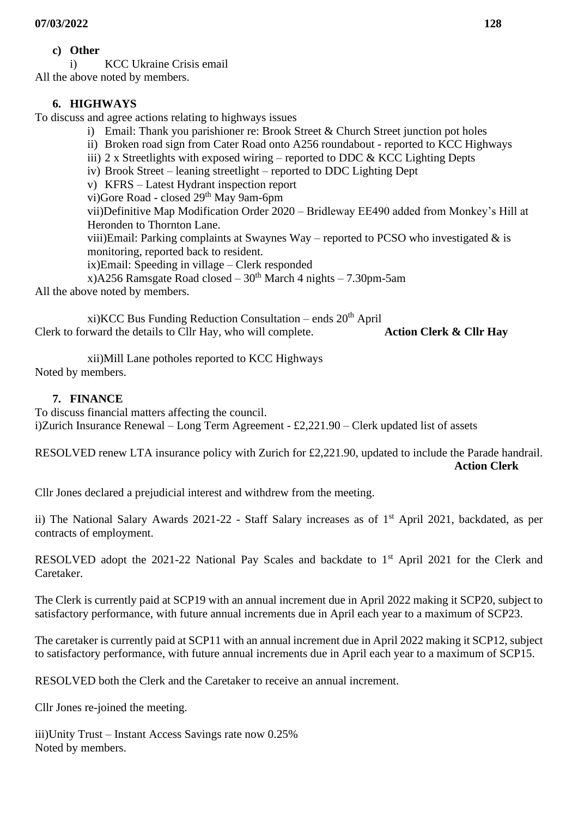# **c) Other**

i) KCC Ukraine Crisis email All the above noted by members.

# **6. HIGHWAYS**

To discuss and agree actions relating to highways issues

- i) Email: Thank you parishioner re: Brook Street & Church Street junction pot holes
- ii) Broken road sign from Cater Road onto A256 roundabout reported to KCC Highways
- iii) 2 x Streetlights with exposed wiring reported to DDC  $&$  KCC Lighting Depts
- iv) Brook Street leaning streetlight reported to DDC Lighting Dept
- v) KFRS Latest Hydrant inspection report
- vi)Gore Road closed 29th May 9am-6pm

vii)Definitive Map Modification Order 2020 – Bridleway EE490 added from Monkey's Hill at Heronden to Thornton Lane.

viii)Email: Parking complaints at Swaynes Way – reported to PCSO who investigated  $\&$  is monitoring, reported back to resident.

ix)Email: Speeding in village – Clerk responded

x)A256 Ramsgate Road closed –  $30<sup>th</sup>$  March 4 nights – 7.30pm-5am

All the above noted by members.

xi)KCC Bus Funding Reduction Consultation – ends  $20<sup>th</sup>$  April Clerk to forward the details to Cllr Hay, who will complete. **Action Clerk & Cllr Hay** 

xii)Mill Lane potholes reported to KCC Highways Noted by members.

# **7. FINANCE**

To discuss financial matters affecting the council. i)Zurich Insurance Renewal – Long Term Agreement - £2,221.90 – Clerk updated list of assets

RESOLVED renew LTA insurance policy with Zurich for £2,221.90, updated to include the Parade handrail. **Action Clerk**

Cllr Jones declared a prejudicial interest and withdrew from the meeting.

ii) The National Salary Awards 2021-22 - Staff Salary increases as of 1st April 2021, backdated, as per contracts of employment.

RESOLVED adopt the 2021-22 National Pay Scales and backdate to 1<sup>st</sup> April 2021 for the Clerk and Caretaker.

The Clerk is currently paid at SCP19 with an annual increment due in April 2022 making it SCP20, subject to satisfactory performance, with future annual increments due in April each year to a maximum of SCP23.

The caretaker is currently paid at SCP11 with an annual increment due in April 2022 making it SCP12, subject to satisfactory performance, with future annual increments due in April each year to a maximum of SCP15.

RESOLVED both the Clerk and the Caretaker to receive an annual increment.

Cllr Jones re-joined the meeting.

iii)Unity Trust – Instant Access Savings rate now 0.25% Noted by members.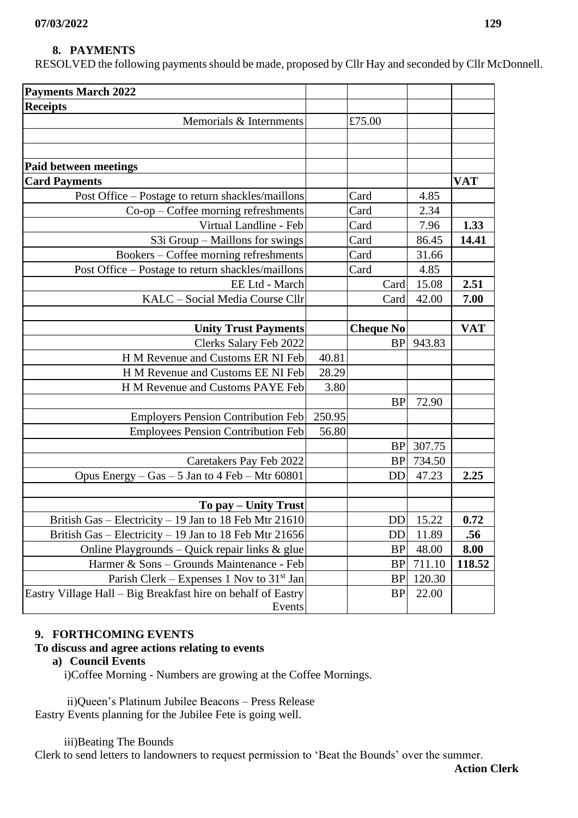# **8. PAYMENTS**

RESOLVED the following payments should be made, proposed by Cllr Hay and seconded by Cllr McDonnell.

|                        | £75.00                                                                                                                                                                                                                                                                                                                                                                                                                                                                                                                                                                                                                                                                                                                                                                                                                                                                                                                                                           |                                  |                                                      |
|------------------------|------------------------------------------------------------------------------------------------------------------------------------------------------------------------------------------------------------------------------------------------------------------------------------------------------------------------------------------------------------------------------------------------------------------------------------------------------------------------------------------------------------------------------------------------------------------------------------------------------------------------------------------------------------------------------------------------------------------------------------------------------------------------------------------------------------------------------------------------------------------------------------------------------------------------------------------------------------------|----------------------------------|------------------------------------------------------|
|                        |                                                                                                                                                                                                                                                                                                                                                                                                                                                                                                                                                                                                                                                                                                                                                                                                                                                                                                                                                                  |                                  |                                                      |
|                        |                                                                                                                                                                                                                                                                                                                                                                                                                                                                                                                                                                                                                                                                                                                                                                                                                                                                                                                                                                  |                                  |                                                      |
|                        |                                                                                                                                                                                                                                                                                                                                                                                                                                                                                                                                                                                                                                                                                                                                                                                                                                                                                                                                                                  |                                  |                                                      |
|                        |                                                                                                                                                                                                                                                                                                                                                                                                                                                                                                                                                                                                                                                                                                                                                                                                                                                                                                                                                                  |                                  | <b>VAT</b>                                           |
|                        | Card                                                                                                                                                                                                                                                                                                                                                                                                                                                                                                                                                                                                                                                                                                                                                                                                                                                                                                                                                             | 4.85                             |                                                      |
|                        | Card                                                                                                                                                                                                                                                                                                                                                                                                                                                                                                                                                                                                                                                                                                                                                                                                                                                                                                                                                             | 2.34                             |                                                      |
|                        | Card                                                                                                                                                                                                                                                                                                                                                                                                                                                                                                                                                                                                                                                                                                                                                                                                                                                                                                                                                             |                                  | 1.33                                                 |
|                        |                                                                                                                                                                                                                                                                                                                                                                                                                                                                                                                                                                                                                                                                                                                                                                                                                                                                                                                                                                  |                                  | 14.41                                                |
|                        | Card                                                                                                                                                                                                                                                                                                                                                                                                                                                                                                                                                                                                                                                                                                                                                                                                                                                                                                                                                             |                                  |                                                      |
|                        | Card                                                                                                                                                                                                                                                                                                                                                                                                                                                                                                                                                                                                                                                                                                                                                                                                                                                                                                                                                             |                                  |                                                      |
|                        |                                                                                                                                                                                                                                                                                                                                                                                                                                                                                                                                                                                                                                                                                                                                                                                                                                                                                                                                                                  |                                  | 2.51                                                 |
|                        | Card                                                                                                                                                                                                                                                                                                                                                                                                                                                                                                                                                                                                                                                                                                                                                                                                                                                                                                                                                             | 42.00                            | 7.00                                                 |
|                        |                                                                                                                                                                                                                                                                                                                                                                                                                                                                                                                                                                                                                                                                                                                                                                                                                                                                                                                                                                  |                                  |                                                      |
|                        |                                                                                                                                                                                                                                                                                                                                                                                                                                                                                                                                                                                                                                                                                                                                                                                                                                                                                                                                                                  |                                  | <b>VAT</b>                                           |
|                        | <b>BP</b>                                                                                                                                                                                                                                                                                                                                                                                                                                                                                                                                                                                                                                                                                                                                                                                                                                                                                                                                                        | 943.83                           |                                                      |
| 40.81                  |                                                                                                                                                                                                                                                                                                                                                                                                                                                                                                                                                                                                                                                                                                                                                                                                                                                                                                                                                                  |                                  |                                                      |
| 28.29                  |                                                                                                                                                                                                                                                                                                                                                                                                                                                                                                                                                                                                                                                                                                                                                                                                                                                                                                                                                                  |                                  |                                                      |
|                        |                                                                                                                                                                                                                                                                                                                                                                                                                                                                                                                                                                                                                                                                                                                                                                                                                                                                                                                                                                  |                                  |                                                      |
|                        | <b>BP</b>                                                                                                                                                                                                                                                                                                                                                                                                                                                                                                                                                                                                                                                                                                                                                                                                                                                                                                                                                        | 72.90                            |                                                      |
|                        |                                                                                                                                                                                                                                                                                                                                                                                                                                                                                                                                                                                                                                                                                                                                                                                                                                                                                                                                                                  |                                  |                                                      |
| 56.80                  |                                                                                                                                                                                                                                                                                                                                                                                                                                                                                                                                                                                                                                                                                                                                                                                                                                                                                                                                                                  |                                  |                                                      |
|                        | <b>BP</b>                                                                                                                                                                                                                                                                                                                                                                                                                                                                                                                                                                                                                                                                                                                                                                                                                                                                                                                                                        | 307.75                           |                                                      |
|                        |                                                                                                                                                                                                                                                                                                                                                                                                                                                                                                                                                                                                                                                                                                                                                                                                                                                                                                                                                                  | 734.50                           |                                                      |
|                        | <b>DD</b>                                                                                                                                                                                                                                                                                                                                                                                                                                                                                                                                                                                                                                                                                                                                                                                                                                                                                                                                                        | 47.23                            | 2.25                                                 |
|                        |                                                                                                                                                                                                                                                                                                                                                                                                                                                                                                                                                                                                                                                                                                                                                                                                                                                                                                                                                                  |                                  |                                                      |
|                        |                                                                                                                                                                                                                                                                                                                                                                                                                                                                                                                                                                                                                                                                                                                                                                                                                                                                                                                                                                  |                                  |                                                      |
|                        | DD                                                                                                                                                                                                                                                                                                                                                                                                                                                                                                                                                                                                                                                                                                                                                                                                                                                                                                                                                               | 15.22                            | 0.72                                                 |
|                        | DD                                                                                                                                                                                                                                                                                                                                                                                                                                                                                                                                                                                                                                                                                                                                                                                                                                                                                                                                                               | 11.89                            | .56                                                  |
|                        | <b>BP</b>                                                                                                                                                                                                                                                                                                                                                                                                                                                                                                                                                                                                                                                                                                                                                                                                                                                                                                                                                        | 48.00                            | 8.00                                                 |
|                        | <b>BP</b>                                                                                                                                                                                                                                                                                                                                                                                                                                                                                                                                                                                                                                                                                                                                                                                                                                                                                                                                                        | 711.10                           | 118.52                                               |
|                        | <b>BP</b>                                                                                                                                                                                                                                                                                                                                                                                                                                                                                                                                                                                                                                                                                                                                                                                                                                                                                                                                                        | 120.30                           |                                                      |
|                        | <b>BP</b>                                                                                                                                                                                                                                                                                                                                                                                                                                                                                                                                                                                                                                                                                                                                                                                                                                                                                                                                                        | 22.00                            |                                                      |
|                        |                                                                                                                                                                                                                                                                                                                                                                                                                                                                                                                                                                                                                                                                                                                                                                                                                                                                                                                                                                  |                                  |                                                      |
| Virtual Landline - Feb | Post Office – Postage to return shackles/maillons<br>Co-op - Coffee morning refreshments<br>S3i Group - Maillons for swings<br>Bookers - Coffee morning refreshments<br>Post Office - Postage to return shackles/maillons<br>EE Ltd - March<br>KALC - Social Media Course Cllr<br><b>Unity Trust Payments</b><br>Clerks Salary Feb 2022<br>H M Revenue and Customs ER NI Feb<br>H M Revenue and Customs EE NI Feb<br>3.80<br>H M Revenue and Customs PAYE Feb<br>250.95<br><b>Employers Pension Contribution Feb</b><br><b>Employees Pension Contribution Feb</b><br>Caretakers Pay Feb 2022<br>To pay – Unity Trust<br>British Gas – Electricity – 19 Jan to 18 Feb Mtr 21610<br>British Gas - Electricity - 19 Jan to 18 Feb Mtr 21656<br>Online Playgrounds - Quick repair links & glue<br>Harmer & Sons - Grounds Maintenance - Feb<br>Parish Clerk – Expenses 1 Nov to $31st$ Jan<br>Eastry Village Hall – Big Breakfast hire on behalf of Eastry<br>Events | Card<br>Card<br><b>Cheque No</b> | 7.96<br>86.45<br>31.66<br>4.85<br>15.08<br><b>BP</b> |

## **9. FORTHCOMING EVENTS**

#### **To discuss and agree actions relating to events**

**a) Council Events**

i)Coffee Morning - Numbers are growing at the Coffee Mornings.

 ii)Queen's Platinum Jubilee Beacons – Press Release Eastry Events planning for the Jubilee Fete is going well.

iii)Beating The Bounds

Clerk to send letters to landowners to request permission to 'Beat the Bounds' over the summer.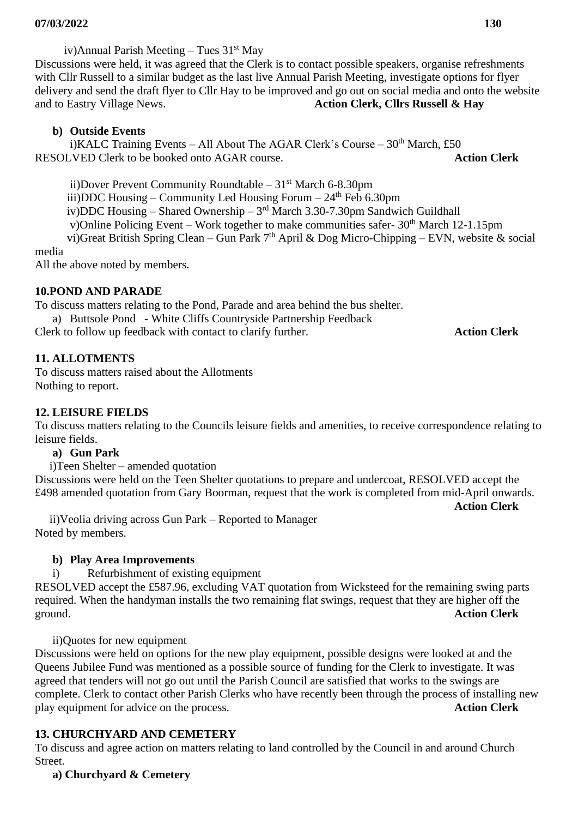iv)Annual Parish Meeting – Tues 31<sup>st</sup> May Discussions were held, it was agreed that the Clerk is to contact possible speakers, organise refreshments with Cllr Russell to a similar budget as the last live Annual Parish Meeting, investigate options for flyer delivery and send the draft flyer to Cllr Hay to be improved and go out on social media and onto the website and to Eastry Village News. **Action Clerk, Cllrs Russell & Hay**

## **b) Outside Events**

i)KALC Training Events – All About The AGAR Clerk's Course –  $30<sup>th</sup>$  March, £50 RESOLVED Clerk to be booked onto AGAR course. **Action Clerk**

ii)Dover Prevent Community Roundtable –  $31<sup>st</sup>$  March 6-8.30pm

iii)DDC Housing – Community Led Housing Forum –  $24<sup>th</sup>$  Feb 6.30pm

iv)DDC Housing – Shared Ownership –  $3<sup>rd</sup>$  March 3.30-7.30pm Sandwich Guildhall

v)Online Policing Event – Work together to make communities safer- 30<sup>th</sup> March 12-1.15pm

vi)Great British Spring Clean – Gun Park 7<sup>th</sup> April & Dog Micro-Chipping – EVN, website & social media

All the above noted by members.

## **10.POND AND PARADE**

To discuss matters relating to the Pond, Parade and area behind the bus shelter.

a) Buttsole Pond - White Cliffs Countryside Partnership Feedback

Clerk to follow up feedback with contact to clarify further. **Action Clerk**

#### **11. ALLOTMENTS**

To discuss matters raised about the Allotments Nothing to report.

## **12. LEISURE FIELDS**

To discuss matters relating to the Councils leisure fields and amenities, to receive correspondence relating to leisure fields.

#### **a) Gun Park**

i)Teen Shelter – amended quotation

Discussions were held on the Teen Shelter quotations to prepare and undercoat, RESOLVED accept the £498 amended quotation from Gary Boorman, request that the work is completed from mid-April onwards. **Action Clerk**

 ii)Veolia driving across Gun Park – Reported to Manager Noted by members.

## **b) Play Area Improvements**

i) Refurbishment of existing equipment

RESOLVED accept the £587.96, excluding VAT quotation from Wicksteed for the remaining swing parts required. When the handyman installs the two remaining flat swings, request that they are higher off the ground. **Action Clerk**

ii)Quotes for new equipment

Discussions were held on options for the new play equipment, possible designs were looked at and the Queens Jubilee Fund was mentioned as a possible source of funding for the Clerk to investigate. It was agreed that tenders will not go out until the Parish Council are satisfied that works to the swings are complete. Clerk to contact other Parish Clerks who have recently been through the process of installing new play equipment for advice on the process. **Action Clerk**

## **13. CHURCHYARD AND CEMETERY**

To discuss and agree action on matters relating to land controlled by the Council in and around Church Street.

 **a) Churchyard & Cemetery**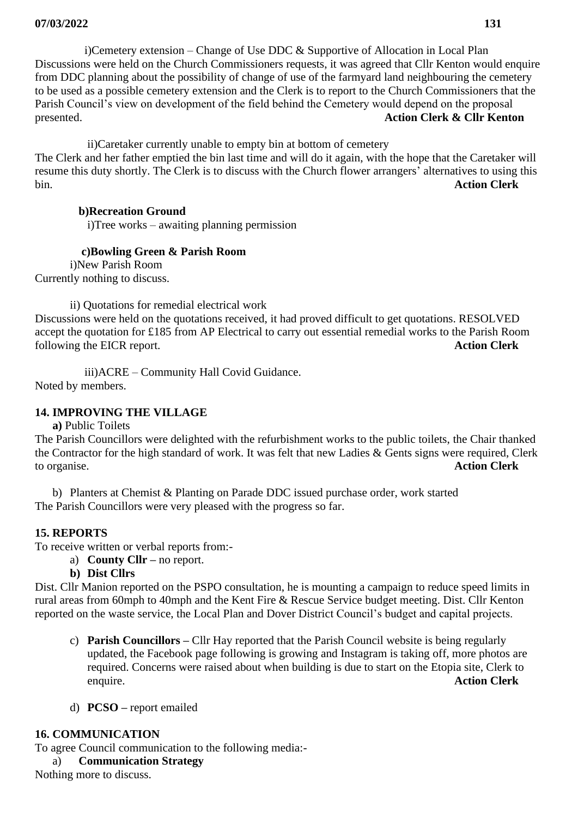i)Cemetery extension – Change of Use DDC & Supportive of Allocation in Local Plan Discussions were held on the Church Commissioners requests, it was agreed that Cllr Kenton would enquire from DDC planning about the possibility of change of use of the farmyard land neighbouring the cemetery to be used as a possible cemetery extension and the Clerk is to report to the Church Commissioners that the Parish Council's view on development of the field behind the Cemetery would depend on the proposal presented. **Action Clerk & Cllr Kenton**

 ii)Caretaker currently unable to empty bin at bottom of cemetery The Clerk and her father emptied the bin last time and will do it again, with the hope that the Caretaker will resume this duty shortly. The Clerk is to discuss with the Church flower arrangers' alternatives to using this bin. **Action Clerk**

## **b)Recreation Ground**

i)Tree works – awaiting planning permission

## **c)Bowling Green & Parish Room**

 i)New Parish Room Currently nothing to discuss.

ii) Quotations for remedial electrical work Discussions were held on the quotations received, it had proved difficult to get quotations. RESOLVED accept the quotation for £185 from AP Electrical to carry out essential remedial works to the Parish Room following the EICR report. **Action Clerk**

iii)ACRE – Community Hall Covid Guidance.

Noted by members.

## **14. IMPROVING THE VILLAGE**

**a)** Public Toilets

The Parish Councillors were delighted with the refurbishment works to the public toilets, the Chair thanked the Contractor for the high standard of work. It was felt that new Ladies & Gents signs were required, Clerk to organise. **Action Clerk**

b) Planters at Chemist & Planting on Parade DDC issued purchase order, work started The Parish Councillors were very pleased with the progress so far.

## **15. REPORTS**

To receive written or verbal reports from:-

- a) **County Cllr –** no report.
- **b) Dist Cllrs**

Dist. Cllr Manion reported on the PSPO consultation, he is mounting a campaign to reduce speed limits in rural areas from 60mph to 40mph and the Kent Fire & Rescue Service budget meeting. Dist. Cllr Kenton reported on the waste service, the Local Plan and Dover District Council's budget and capital projects.

- c) **Parish Councillors –** Cllr Hay reported that the Parish Council website is being regularly updated, the Facebook page following is growing and Instagram is taking off, more photos are required. Concerns were raised about when building is due to start on the Etopia site, Clerk to enquire. **Action Clerk**
- d) **PCSO –** report emailed

## **16. COMMUNICATION**

To agree Council communication to the following media:-

a) **Communication Strategy**

Nothing more to discuss.